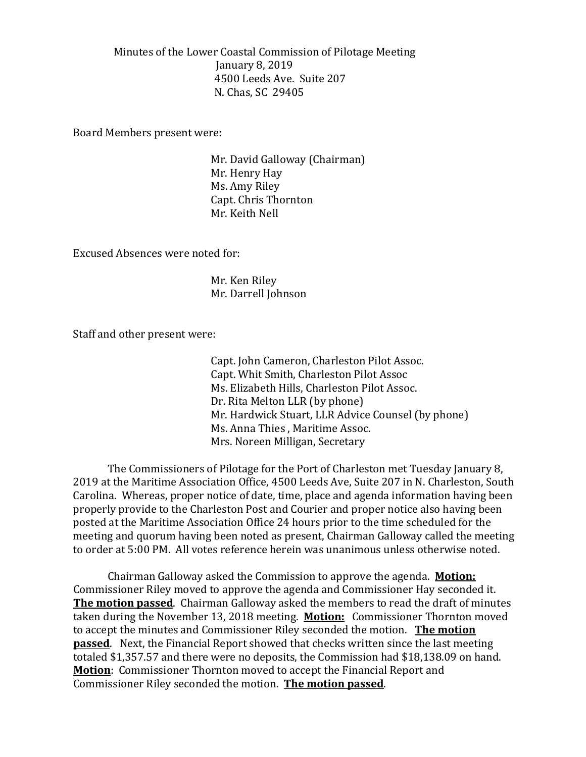Minutes of the Lower Coastal Commission of Pilotage Meeting January 8, 2019 4500 Leeds Ave. Suite 207 N. Chas, SC 29405

Board Members present were:

Mr. David Galloway (Chairman) Mr. Henry Hay Ms. Amy Riley Capt. Chris Thornton Mr. Keith Nell

Excused Absences were noted for:

Mr. Ken Riley Mr. Darrell Johnson

Staff and other present were:

Capt. John Cameron, Charleston Pilot Assoc. Capt. Whit Smith, Charleston Pilot Assoc Ms. Elizabeth Hills, Charleston Pilot Assoc. Dr. Rita Melton LLR (by phone) Mr. Hardwick Stuart, LLR Advice Counsel (by phone) Ms. Anna Thies , Maritime Assoc. Mrs. Noreen Milligan, Secretary

The Commissioners of Pilotage for the Port of Charleston met Tuesday January 8, 2019 at the Maritime Association Office, 4500 Leeds Ave, Suite 207 in N. Charleston, South Carolina. Whereas, proper notice of date, time, place and agenda information having been properly provide to the Charleston Post and Courier and proper notice also having been posted at the Maritime Association Office 24 hours prior to the time scheduled for the meeting and quorum having been noted as present, Chairman Galloway called the meeting to order at 5:00 PM. All votes reference herein was unanimous unless otherwise noted.

Chairman Galloway asked the Commission to approve the agenda. **Motion:** Commissioner Riley moved to approve the agenda and Commissioner Hay seconded it. **The motion passed**. Chairman Galloway asked the members to read the draft of minutes taken during the November 13, 2018 meeting. **Motion:** Commissioner Thornton moved to accept the minutes and Commissioner Riley seconded the motion. **The motion passed**. Next, the Financial Report showed that checks written since the last meeting totaled \$1,357.57 and there were no deposits, the Commission had \$18,138.09 on hand. **Motion**: Commissioner Thornton moved to accept the Financial Report and Commissioner Riley seconded the motion. **The motion passed**.